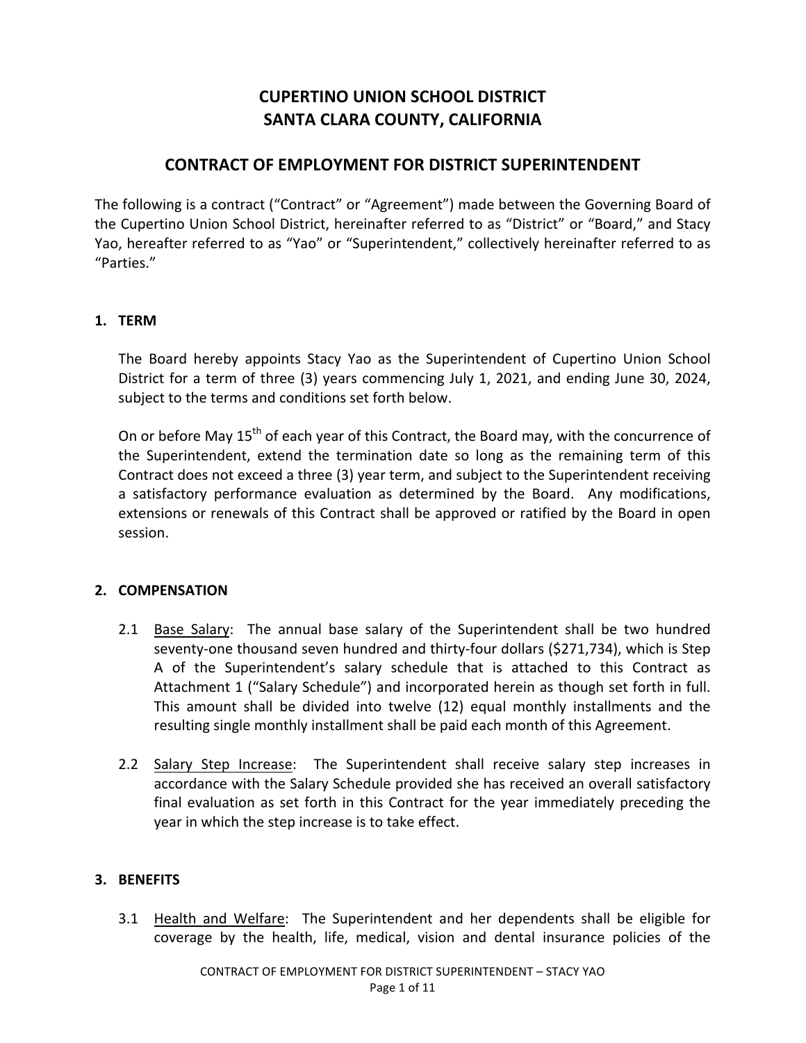# **CUPERTINO UNION SCHOOL DISTRICT** SANTA CLARA COUNTY, CALIFORNIA

# **CONTRACT OF EMPLOYMENT FOR DISTRICT SUPERINTENDENT**

The following is a contract ("Contract" or "Agreement") made between the Governing Board of the Cupertino Union School District, hereinafter referred to as "District" or "Board," and Stacy Yao, hereafter referred to as "Yao" or "Superintendent," collectively hereinafter referred to as "Parties."

### **1. TERM**

The Board hereby appoints Stacy Yao as the Superintendent of Cupertino Union School District for a term of three (3) years commencing July 1, 2021, and ending June 30, 2024, subject to the terms and conditions set forth below.

On or before May 15<sup>th</sup> of each year of this Contract, the Board may, with the concurrence of the Superintendent, extend the termination date so long as the remaining term of this Contract does not exceed a three (3) year term, and subject to the Superintendent receiving a satisfactory performance evaluation as determined by the Board. Any modifications, extensions or renewals of this Contract shall be approved or ratified by the Board in open session.

### **2. COMPENSATION**

- 2.1 Base Salary: The annual base salary of the Superintendent shall be two hundred seventy-one thousand seven hundred and thirty-four dollars (\$271,734), which is Step A of the Superintendent's salary schedule that is attached to this Contract as Attachment 1 ("Salary Schedule") and incorporated herein as though set forth in full. This amount shall be divided into twelve (12) equal monthly installments and the resulting single monthly installment shall be paid each month of this Agreement.
- 2.2 Salary Step Increase: The Superintendent shall receive salary step increases in accordance with the Salary Schedule provided she has received an overall satisfactory final evaluation as set forth in this Contract for the year immediately preceding the year in which the step increase is to take effect.

### **3. BENEFITS**

3.1 Health and Welfare: The Superintendent and her dependents shall be eligible for coverage by the health, life, medical, vision and dental insurance policies of the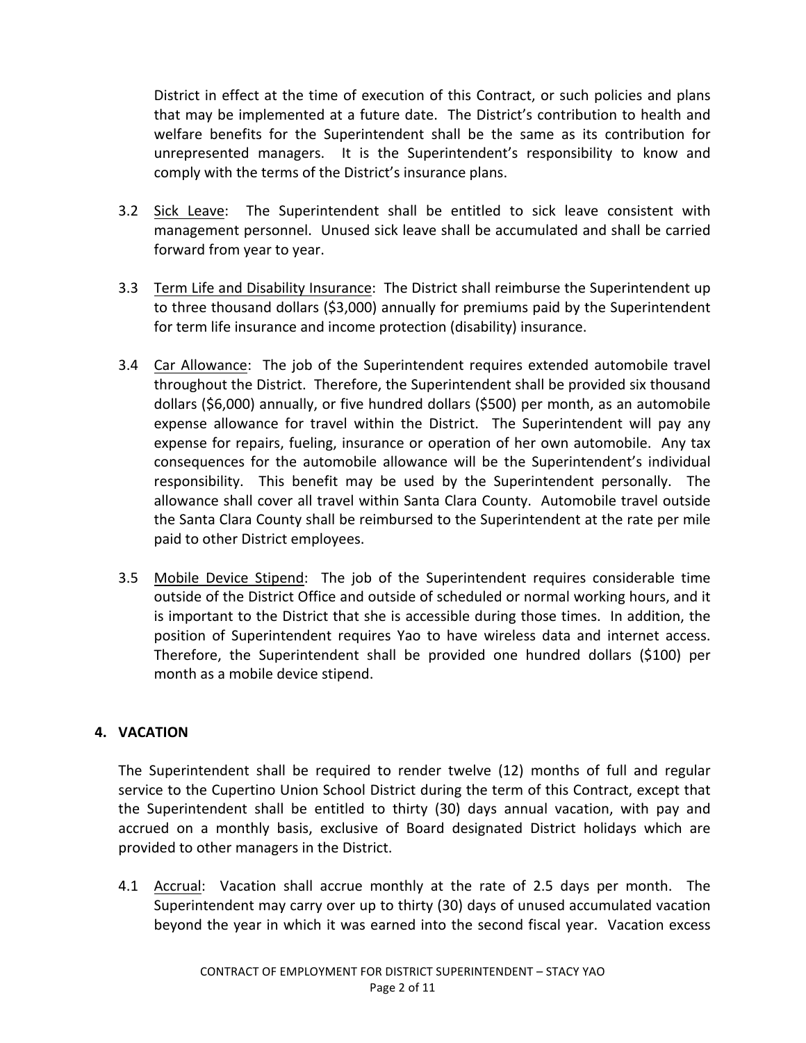District in effect at the time of execution of this Contract, or such policies and plans that may be implemented at a future date. The District's contribution to health and welfare benefits for the Superintendent shall be the same as its contribution for unrepresented managers. It is the Superintendent's responsibility to know and comply with the terms of the District's insurance plans.

- 3.2 Sick Leave: The Superintendent shall be entitled to sick leave consistent with management personnel. Unused sick leave shall be accumulated and shall be carried forward from year to year.
- 3.3 Term Life and Disability Insurance: The District shall reimburse the Superintendent up to three thousand dollars (\$3,000) annually for premiums paid by the Superintendent for term life insurance and income protection (disability) insurance.
- 3.4 Car Allowance: The job of the Superintendent requires extended automobile travel throughout the District. Therefore, the Superintendent shall be provided six thousand dollars (\$6,000) annually, or five hundred dollars (\$500) per month, as an automobile expense allowance for travel within the District. The Superintendent will pay any expense for repairs, fueling, insurance or operation of her own automobile. Any tax consequences for the automobile allowance will be the Superintendent's individual responsibility. This benefit may be used by the Superintendent personally. The allowance shall cover all travel within Santa Clara County. Automobile travel outside the Santa Clara County shall be reimbursed to the Superintendent at the rate per mile paid to other District employees.
- 3.5 Mobile Device Stipend: The job of the Superintendent requires considerable time outside of the District Office and outside of scheduled or normal working hours, and it is important to the District that she is accessible during those times. In addition, the position of Superintendent requires Yao to have wireless data and internet access. Therefore, the Superintendent shall be provided one hundred dollars  $(5100)$  per month as a mobile device stipend.

# **4. VACATION**

The Superintendent shall be required to render twelve (12) months of full and regular service to the Cupertino Union School District during the term of this Contract, except that the Superintendent shall be entitled to thirty (30) days annual vacation, with pay and accrued on a monthly basis, exclusive of Board designated District holidays which are provided to other managers in the District.

4.1 Accrual: Vacation shall accrue monthly at the rate of 2.5 days per month. The Superintendent may carry over up to thirty (30) days of unused accumulated vacation beyond the year in which it was earned into the second fiscal year. Vacation excess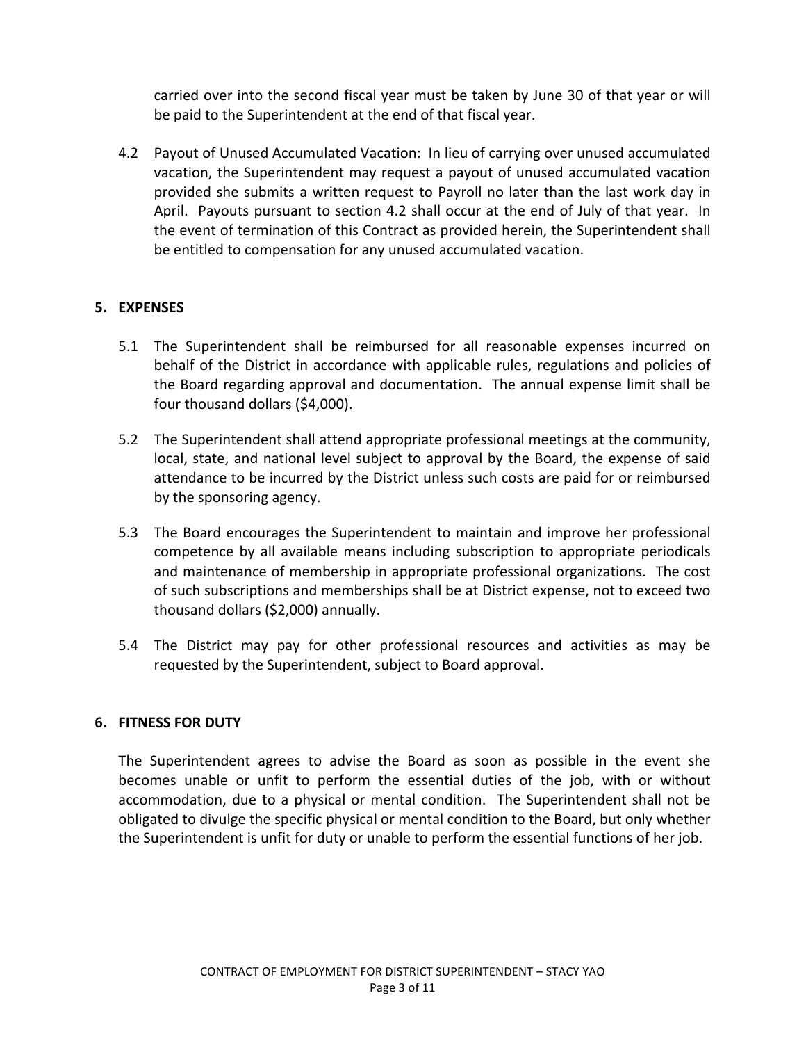carried over into the second fiscal year must be taken by June 30 of that year or will be paid to the Superintendent at the end of that fiscal year.

4.2 Payout of Unused Accumulated Vacation: In lieu of carrying over unused accumulated vacation, the Superintendent may request a payout of unused accumulated vacation provided she submits a written request to Payroll no later than the last work day in April. Payouts pursuant to section 4.2 shall occur at the end of July of that year. In the event of termination of this Contract as provided herein, the Superintendent shall be entitled to compensation for any unused accumulated vacation.

# **5. EXPENSES**

- 5.1 The Superintendent shall be reimbursed for all reasonable expenses incurred on behalf of the District in accordance with applicable rules, regulations and policies of the Board regarding approval and documentation. The annual expense limit shall be four thousand dollars (\$4,000).
- 5.2 The Superintendent shall attend appropriate professional meetings at the community, local, state, and national level subject to approval by the Board, the expense of said attendance to be incurred by the District unless such costs are paid for or reimbursed by the sponsoring agency.
- 5.3 The Board encourages the Superintendent to maintain and improve her professional competence by all available means including subscription to appropriate periodicals and maintenance of membership in appropriate professional organizations. The cost of such subscriptions and memberships shall be at District expense, not to exceed two thousand dollars (\$2,000) annually.
- 5.4 The District may pay for other professional resources and activities as may be requested by the Superintendent, subject to Board approval.

# **6. FITNESS FOR DUTY**

The Superintendent agrees to advise the Board as soon as possible in the event she becomes unable or unfit to perform the essential duties of the job, with or without accommodation, due to a physical or mental condition. The Superintendent shall not be obligated to divulge the specific physical or mental condition to the Board, but only whether the Superintendent is unfit for duty or unable to perform the essential functions of her job.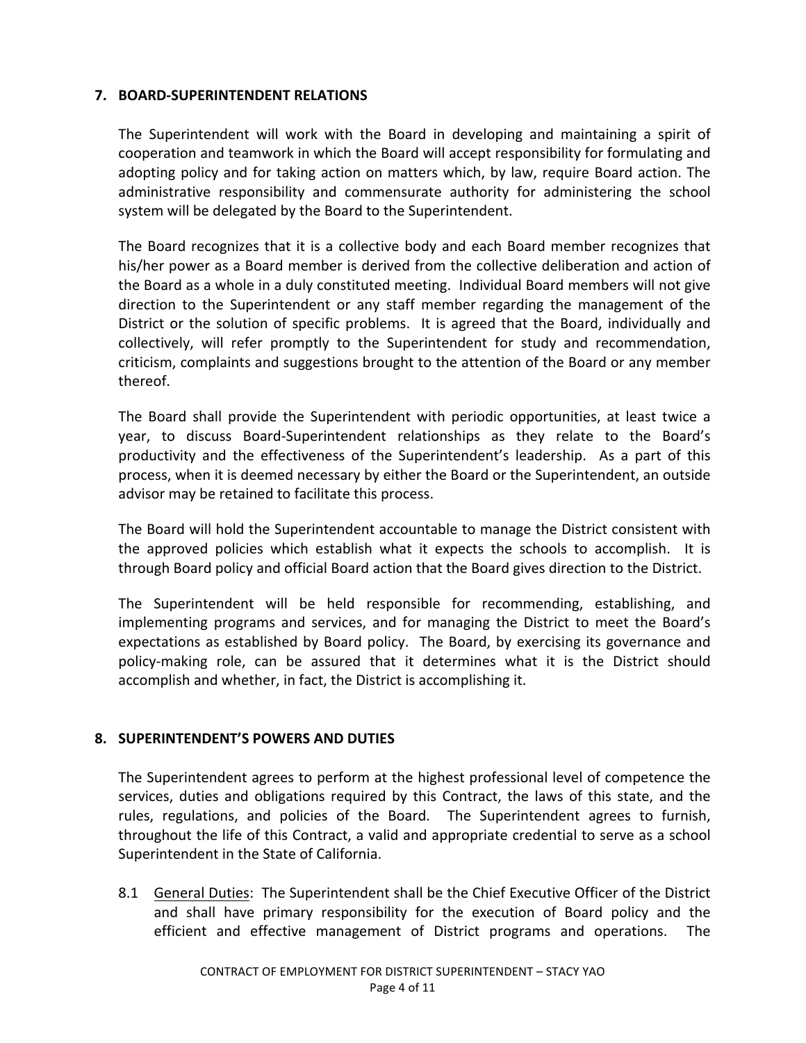### **7. BOARD-SUPERINTENDENT RELATIONS**

The Superintendent will work with the Board in developing and maintaining a spirit of cooperation and teamwork in which the Board will accept responsibility for formulating and adopting policy and for taking action on matters which, by law, require Board action. The administrative responsibility and commensurate authority for administering the school system will be delegated by the Board to the Superintendent.

The Board recognizes that it is a collective body and each Board member recognizes that his/her power as a Board member is derived from the collective deliberation and action of the Board as a whole in a duly constituted meeting. Individual Board members will not give direction to the Superintendent or any staff member regarding the management of the District or the solution of specific problems. It is agreed that the Board, individually and collectively, will refer promptly to the Superintendent for study and recommendation, criticism, complaints and suggestions brought to the attention of the Board or any member thereof. 

The Board shall provide the Superintendent with periodic opportunities, at least twice a year, to discuss Board-Superintendent relationships as they relate to the Board's productivity and the effectiveness of the Superintendent's leadership. As a part of this process, when it is deemed necessary by either the Board or the Superintendent, an outside advisor may be retained to facilitate this process.

The Board will hold the Superintendent accountable to manage the District consistent with the approved policies which establish what it expects the schools to accomplish. It is through Board policy and official Board action that the Board gives direction to the District.

The Superintendent will be held responsible for recommending, establishing, and implementing programs and services, and for managing the District to meet the Board's expectations as established by Board policy. The Board, by exercising its governance and policy-making role, can be assured that it determines what it is the District should accomplish and whether, in fact, the District is accomplishing it.

### 8. SUPERINTENDENT'S POWERS AND DUTIES

The Superintendent agrees to perform at the highest professional level of competence the services, duties and obligations required by this Contract, the laws of this state, and the rules, regulations, and policies of the Board. The Superintendent agrees to furnish, throughout the life of this Contract, a valid and appropriate credential to serve as a school Superintendent in the State of California.

8.1 General Duties: The Superintendent shall be the Chief Executive Officer of the District and shall have primary responsibility for the execution of Board policy and the efficient and effective management of District programs and operations. The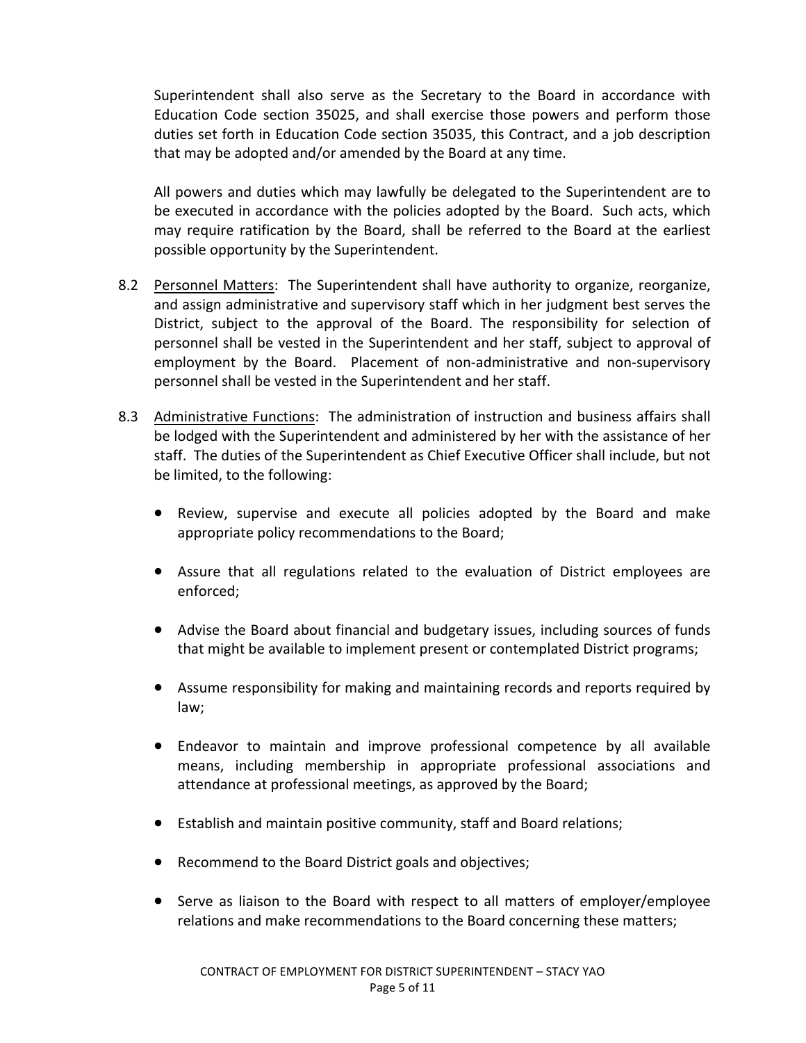Superintendent shall also serve as the Secretary to the Board in accordance with Education Code section 35025, and shall exercise those powers and perform those duties set forth in Education Code section 35035, this Contract, and a job description that may be adopted and/or amended by the Board at any time.

All powers and duties which may lawfully be delegated to the Superintendent are to be executed in accordance with the policies adopted by the Board. Such acts, which may require ratification by the Board, shall be referred to the Board at the earliest possible opportunity by the Superintendent.

- 8.2 Personnel Matters: The Superintendent shall have authority to organize, reorganize, and assign administrative and supervisory staff which in her judgment best serves the District, subject to the approval of the Board. The responsibility for selection of personnel shall be vested in the Superintendent and her staff, subject to approval of employment by the Board. Placement of non-administrative and non-supervisory personnel shall be vested in the Superintendent and her staff.
- 8.3 Administrative Functions: The administration of instruction and business affairs shall be lodged with the Superintendent and administered by her with the assistance of her staff. The duties of the Superintendent as Chief Executive Officer shall include, but not be limited, to the following:
	- Review, supervise and execute all policies adopted by the Board and make appropriate policy recommendations to the Board;
	- Assure that all regulations related to the evaluation of District employees are enforced;
	- Advise the Board about financial and budgetary issues, including sources of funds that might be available to implement present or contemplated District programs;
	- Assume responsibility for making and maintaining records and reports required by law;
	- Endeavor to maintain and improve professional competence by all available means, including membership in appropriate professional associations and attendance at professional meetings, as approved by the Board;
	- Establish and maintain positive community, staff and Board relations;
	- Recommend to the Board District goals and objectives;
	- Serve as liaison to the Board with respect to all matters of employer/employee relations and make recommendations to the Board concerning these matters;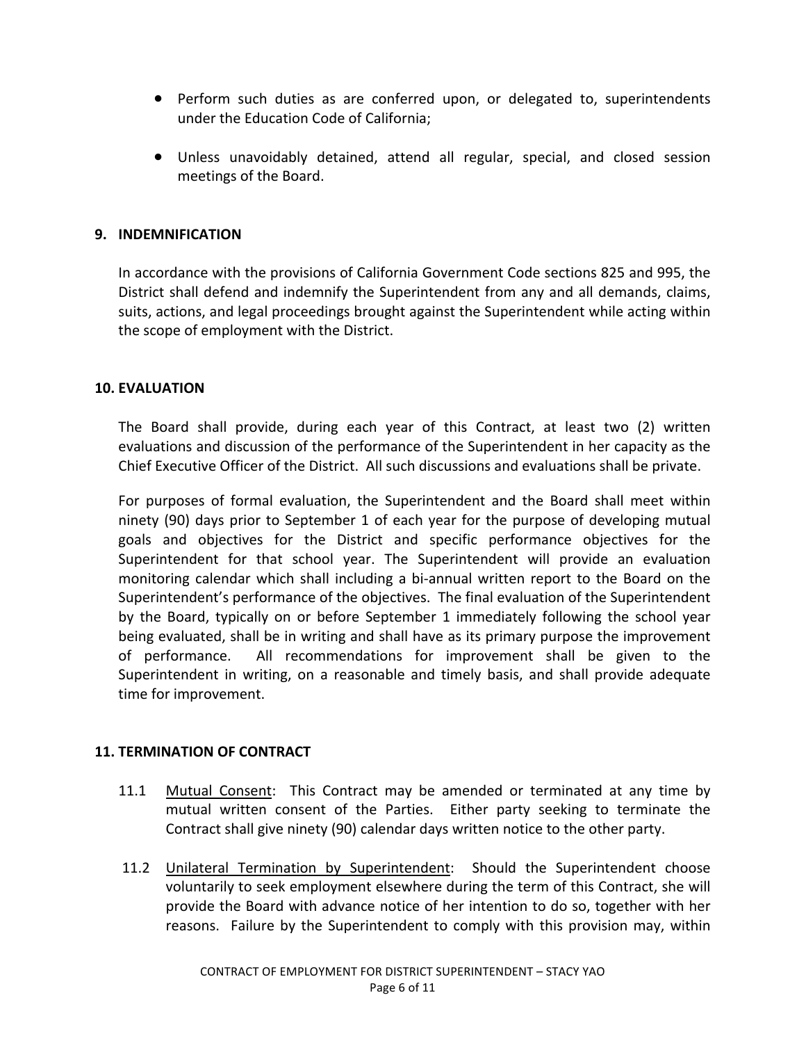- Perform such duties as are conferred upon, or delegated to, superintendents under the Education Code of California:
- Unless unavoidably detained, attend all regular, special, and closed session meetings of the Board.

### **9. INDEMNIFICATION**

In accordance with the provisions of California Government Code sections 825 and 995, the District shall defend and indemnify the Superintendent from any and all demands, claims, suits, actions, and legal proceedings brought against the Superintendent while acting within the scope of employment with the District.

### **10. EVALUATION**

The Board shall provide, during each year of this Contract, at least two (2) written evaluations and discussion of the performance of the Superintendent in her capacity as the Chief Executive Officer of the District. All such discussions and evaluations shall be private.

For purposes of formal evaluation, the Superintendent and the Board shall meet within ninety (90) days prior to September 1 of each year for the purpose of developing mutual goals and objectives for the District and specific performance objectives for the Superintendent for that school year. The Superintendent will provide an evaluation monitoring calendar which shall including a bi-annual written report to the Board on the Superintendent's performance of the objectives. The final evaluation of the Superintendent by the Board, typically on or before September 1 immediately following the school year being evaluated, shall be in writing and shall have as its primary purpose the improvement of performance. All recommendations for improvement shall be given to the Superintendent in writing, on a reasonable and timely basis, and shall provide adequate time for improvement.

### **11. TERMINATION OF CONTRACT**

- 11.1 Mutual Consent: This Contract may be amended or terminated at any time by mutual written consent of the Parties. Either party seeking to terminate the Contract shall give ninety (90) calendar days written notice to the other party.
- 11.2 Unilateral Termination by Superintendent: Should the Superintendent choose voluntarily to seek employment elsewhere during the term of this Contract, she will provide the Board with advance notice of her intention to do so, together with her reasons. Failure by the Superintendent to comply with this provision may, within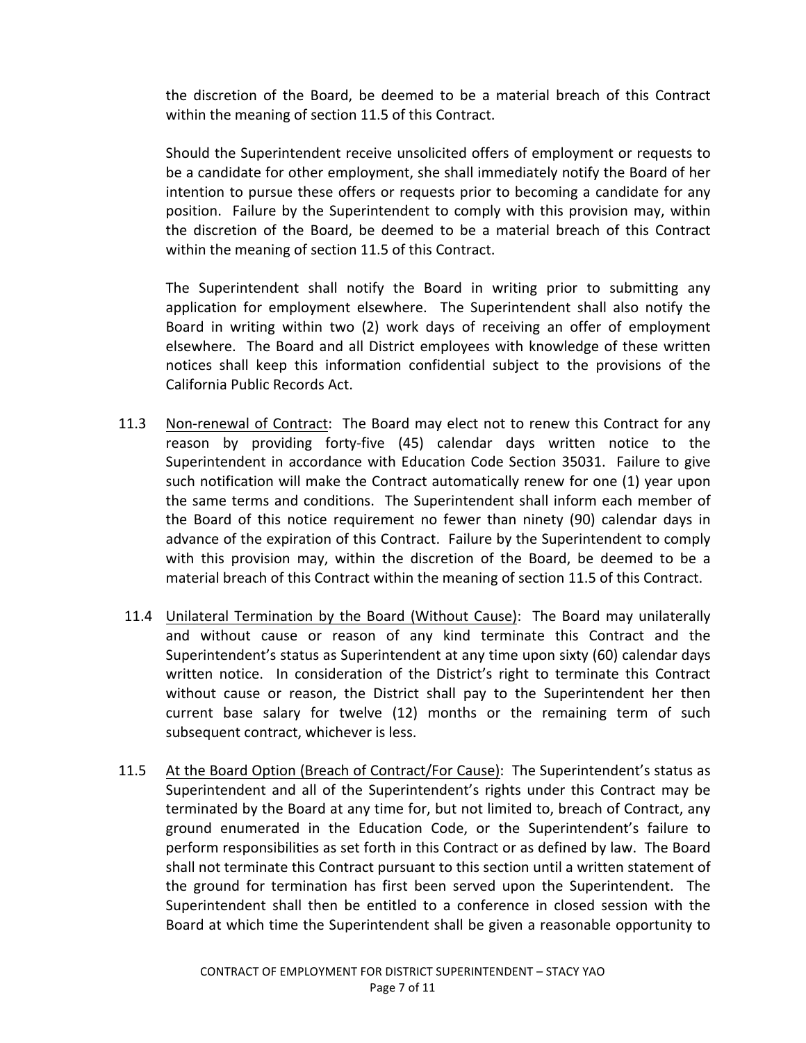the discretion of the Board, be deemed to be a material breach of this Contract within the meaning of section 11.5 of this Contract.

Should the Superintendent receive unsolicited offers of employment or requests to be a candidate for other employment, she shall immediately notify the Board of her intention to pursue these offers or requests prior to becoming a candidate for any position. Failure by the Superintendent to comply with this provision may, within the discretion of the Board, be deemed to be a material breach of this Contract within the meaning of section 11.5 of this Contract.

The Superintendent shall notify the Board in writing prior to submitting any application for employment elsewhere. The Superintendent shall also notify the Board in writing within two (2) work days of receiving an offer of employment elsewhere. The Board and all District employees with knowledge of these written notices shall keep this information confidential subject to the provisions of the California Public Records Act.

- 11.3 Non-renewal of Contract: The Board may elect not to renew this Contract for any reason by providing forty-five (45) calendar days written notice to the Superintendent in accordance with Education Code Section 35031. Failure to give such notification will make the Contract automatically renew for one (1) year upon the same terms and conditions. The Superintendent shall inform each member of the Board of this notice requirement no fewer than ninety (90) calendar days in advance of the expiration of this Contract. Failure by the Superintendent to comply with this provision may, within the discretion of the Board, be deemed to be a material breach of this Contract within the meaning of section 11.5 of this Contract.
- 11.4 Unilateral Termination by the Board (Without Cause): The Board may unilaterally and without cause or reason of any kind terminate this Contract and the Superintendent's status as Superintendent at any time upon sixty (60) calendar days written notice. In consideration of the District's right to terminate this Contract without cause or reason, the District shall pay to the Superintendent her then current base salary for twelve (12) months or the remaining term of such subsequent contract, whichever is less.
- 11.5 At the Board Option (Breach of Contract/For Cause): The Superintendent's status as Superintendent and all of the Superintendent's rights under this Contract may be terminated by the Board at any time for, but not limited to, breach of Contract, any ground enumerated in the Education Code, or the Superintendent's failure to perform responsibilities as set forth in this Contract or as defined by law. The Board shall not terminate this Contract pursuant to this section until a written statement of the ground for termination has first been served upon the Superintendent. The Superintendent shall then be entitled to a conference in closed session with the Board at which time the Superintendent shall be given a reasonable opportunity to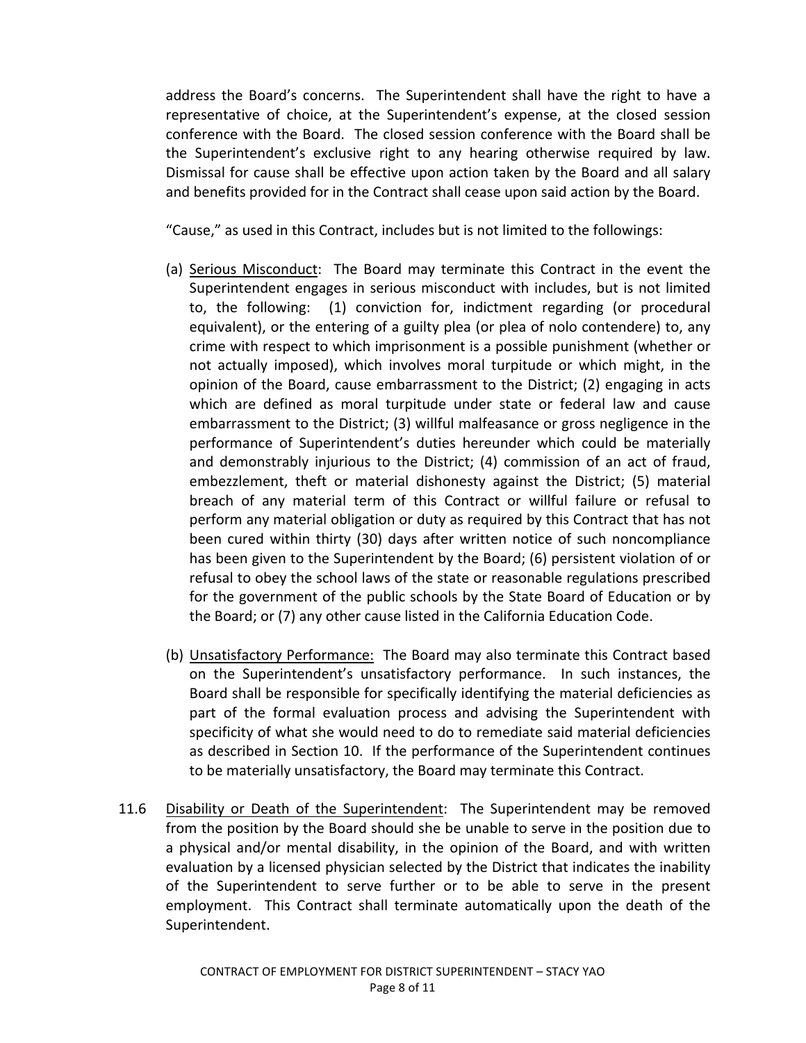address the Board's concerns. The Superintendent shall have the right to have a representative of choice, at the Superintendent's expense, at the closed session conference with the Board. The closed session conference with the Board shall be the Superintendent's exclusive right to any hearing otherwise required by law. Dismissal for cause shall be effective upon action taken by the Board and all salary and benefits provided for in the Contract shall cease upon said action by the Board.

"Cause," as used in this Contract, includes but is not limited to the followings:

- (a) Serious Misconduct: The Board may terminate this Contract in the event the Superintendent engages in serious misconduct with includes, but is not limited to, the following: (1) conviction for, indictment regarding (or procedural equivalent), or the entering of a guilty plea (or plea of nolo contendere) to, any crime with respect to which imprisonment is a possible punishment (whether or not actually imposed), which involves moral turpitude or which might, in the opinion of the Board, cause embarrassment to the District; (2) engaging in acts which are defined as moral turpitude under state or federal law and cause embarrassment to the District; (3) willful malfeasance or gross negligence in the performance of Superintendent's duties hereunder which could be materially and demonstrably injurious to the District;  $(4)$  commission of an act of fraud, embezzlement, theft or material dishonesty against the District; (5) material breach of any material term of this Contract or willful failure or refusal to perform any material obligation or duty as required by this Contract that has not been cured within thirty (30) days after written notice of such noncompliance has been given to the Superintendent by the Board; (6) persistent violation of or refusal to obey the school laws of the state or reasonable regulations prescribed for the government of the public schools by the State Board of Education or by the Board; or (7) any other cause listed in the California Education Code.
- (b) Unsatisfactory Performance: The Board may also terminate this Contract based on the Superintendent's unsatisfactory performance. In such instances, the Board shall be responsible for specifically identifying the material deficiencies as part of the formal evaluation process and advising the Superintendent with specificity of what she would need to do to remediate said material deficiencies as described in Section 10. If the performance of the Superintendent continues to be materially unsatisfactory, the Board may terminate this Contract.
- 11.6 Disability or Death of the Superintendent: The Superintendent may be removed from the position by the Board should she be unable to serve in the position due to a physical and/or mental disability, in the opinion of the Board, and with written evaluation by a licensed physician selected by the District that indicates the inability of the Superintendent to serve further or to be able to serve in the present employment. This Contract shall terminate automatically upon the death of the Superintendent.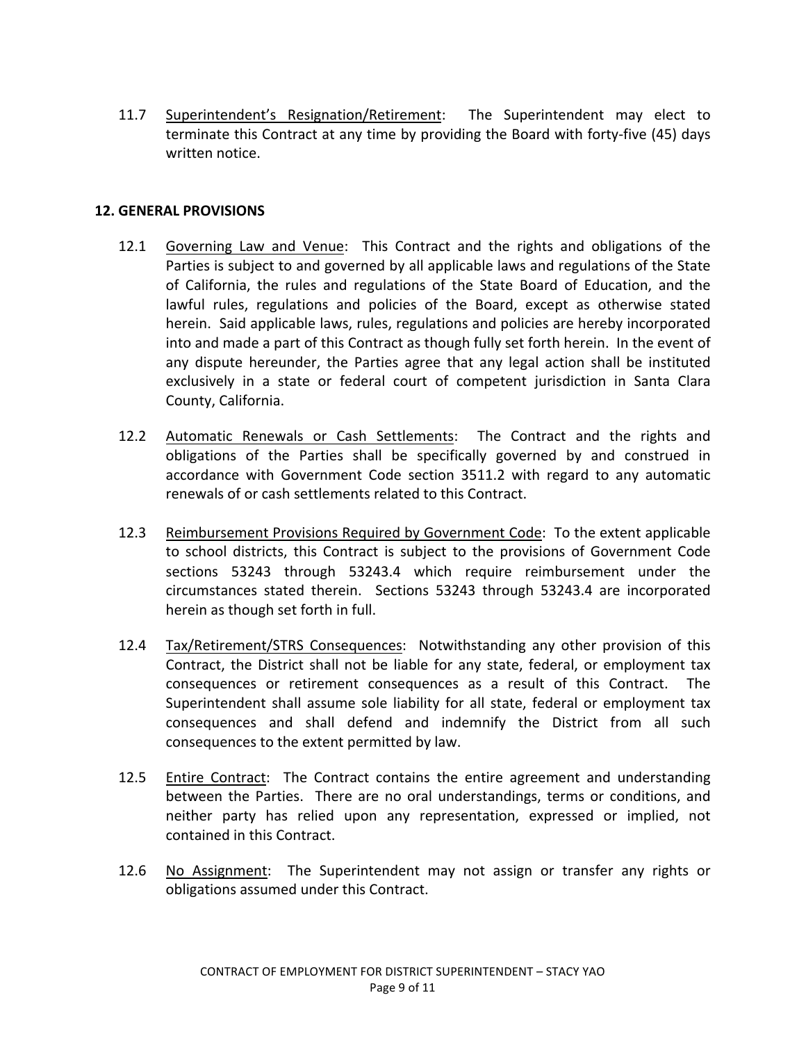11.7 Superintendent's Resignation/Retirement: The Superintendent may elect to terminate this Contract at any time by providing the Board with forty-five (45) days written notice.

### **12. GENERAL PROVISIONS**

- 12.1 Governing Law and Venue: This Contract and the rights and obligations of the Parties is subject to and governed by all applicable laws and regulations of the State of California, the rules and regulations of the State Board of Education, and the lawful rules, regulations and policies of the Board, except as otherwise stated herein. Said applicable laws, rules, regulations and policies are hereby incorporated into and made a part of this Contract as though fully set forth herein. In the event of any dispute hereunder, the Parties agree that any legal action shall be instituted exclusively in a state or federal court of competent jurisdiction in Santa Clara County, California.
- 12.2 Automatic Renewals or Cash Settlements: The Contract and the rights and obligations of the Parties shall be specifically governed by and construed in accordance with Government Code section 3511.2 with regard to any automatic renewals of or cash settlements related to this Contract.
- 12.3 Reimbursement Provisions Required by Government Code: To the extent applicable to school districts, this Contract is subject to the provisions of Government Code sections 53243 through 53243.4 which require reimbursement under the circumstances stated therein. Sections 53243 through 53243.4 are incorporated herein as though set forth in full.
- 12.4 Tax/Retirement/STRS Consequences: Notwithstanding any other provision of this Contract, the District shall not be liable for any state, federal, or employment tax consequences or retirement consequences as a result of this Contract. The Superintendent shall assume sole liability for all state, federal or employment tax consequences and shall defend and indemnify the District from all such consequences to the extent permitted by law.
- 12.5 Entire Contract: The Contract contains the entire agreement and understanding between the Parties. There are no oral understandings, terms or conditions, and neither party has relied upon any representation, expressed or implied, not contained in this Contract.
- 12.6 No Assignment: The Superintendent may not assign or transfer any rights or obligations assumed under this Contract.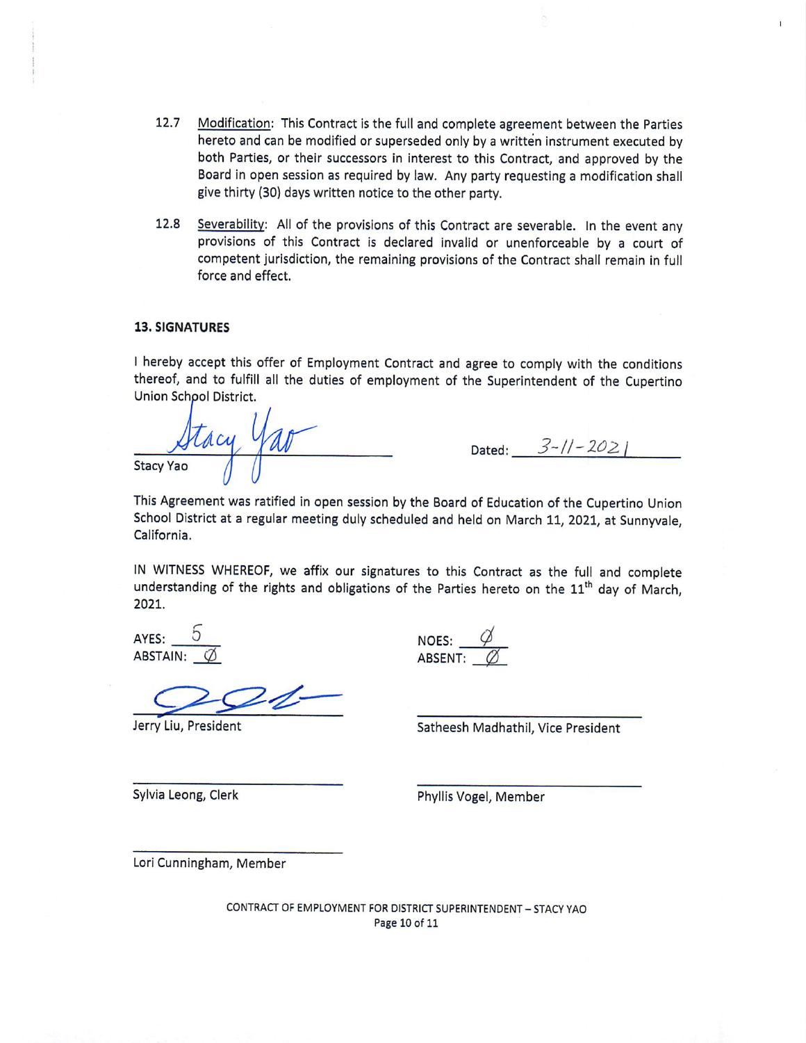- 12.7 Modification: This Contract is the full and complete agreement between the Parties hereto and can be modified or superseded only by a written instrument executed by both Parties, or their successors in interest to this Contract, and approved by the Board in open session as required by law. Any party requesting a modification shall give thirty (30) days written notice to the other party.
- $12.8$ Severability: All of the provisions of this Contract are severable. In the event any provisions of this Contract is declared invalid or unenforceable by a court of competent jurisdiction, the remaining provisions of the Contract shall remain in full force and effect.

#### **13. SIGNATURES**

I hereby accept this offer of Employment Contract and agree to comply with the conditions thereof, and to fulfill all the duties of employment of the Superintendent of the Cupertino Union School District.

Stacy Yav **Stacy Yao** 

Dated:  $3 - 11 - 2021$ 

This Agreement was ratified in open session by the Board of Education of the Cupertino Union School District at a regular meeting duly scheduled and held on March 11, 2021, at Sunnyvale, California.

IN WITNESS WHEREOF, we affix our signatures to this Contract as the full and complete understanding of the rights and obligations of the Parties hereto on the 11<sup>th</sup> day of March, 2021.

AYES: **ABSTAIN:** 

Jerry Liu, President

NOES:  $\frac{\varphi}{\varphi}$ <br>ABSENT:  $\varnothing$ 

Satheesh Madhathil, Vice President

Sylvia Leong, Clerk

Phyllis Vogel, Member

Lori Cunningham, Member

CONTRACT OF EMPLOYMENT FOR DISTRICT SUPERINTENDENT - STACY YAO Page 10 of 11